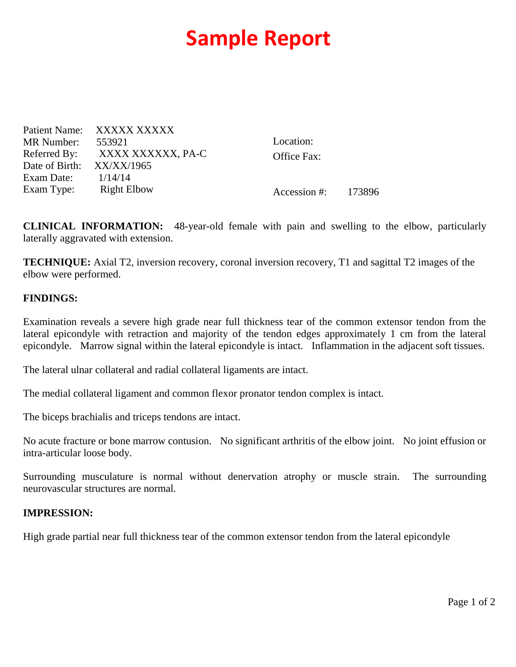## **Sample Report**

Patient Name: XXXXX XXXXX MR Number: 553921 Referred By: XXXX XXXXXX, PA-C Date of Birth: XX/XX/1965 Exam Date: 1/14/14 Exam Type: Right Elbow Location: Office Fax:

Accession #: 173896

**CLINICAL INFORMATION:** 48-year-old female with pain and swelling to the elbow, particularly laterally aggravated with extension.

**TECHNIQUE:** Axial T2, inversion recovery, coronal inversion recovery, T1 and sagittal T2 images of the elbow were performed.

## **FINDINGS:**

Examination reveals a severe high grade near full thickness tear of the common extensor tendon from the lateral epicondyle with retraction and majority of the tendon edges approximately 1 cm from the lateral epicondyle. Marrow signal within the lateral epicondyle is intact. Inflammation in the adjacent soft tissues.

The lateral ulnar collateral and radial collateral ligaments are intact.

The medial collateral ligament and common flexor pronator tendon complex is intact.

The biceps brachialis and triceps tendons are intact.

No acute fracture or bone marrow contusion. No significant arthritis of the elbow joint. No joint effusion or intra-articular loose body.

Surrounding musculature is normal without denervation atrophy or muscle strain. The surrounding neurovascular structures are normal.

## **IMPRESSION:**

High grade partial near full thickness tear of the common extensor tendon from the lateral epicondyle